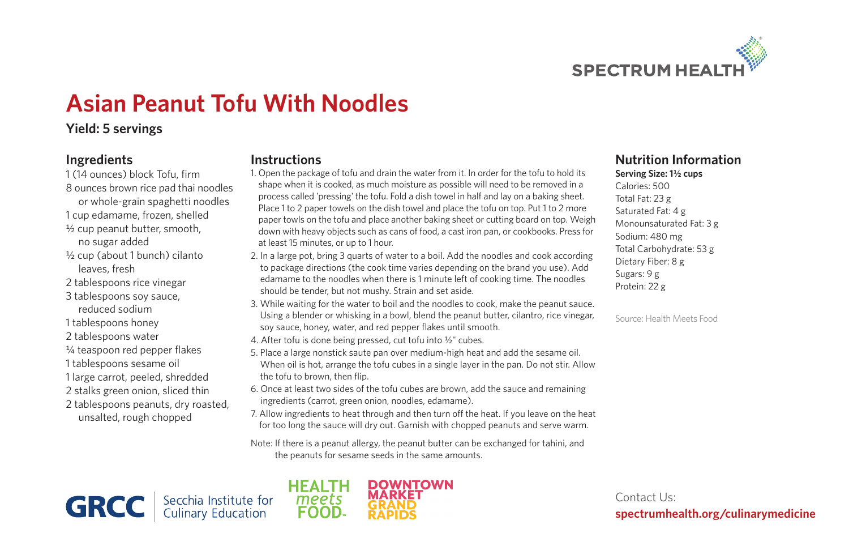

# **Asian Peanut Tofu With Noodles**

# **Yield: 5 servings**

### **Ingredients**

- 1 (14 ounces) block Tofu, firm 8 ounces brown rice pad thai noodles or whole-grain spaghetti noodles 1 cup edamame, frozen, shelled 1/2 cup peanut butter, smooth,
	- no sugar added
- 1/2 cup (about 1 bunch) cilanto leaves, fresh
- 2 tablespoons rice vinegar
- 3 tablespoons soy sauce, reduced sodium
- 1 tablespoons honey
- 2 tablespoons water
- 1/4 teaspoon red pepper flakes
- 1 tablespoons sesame oil
- 1 large carrot, peeled, shredded
- 2 stalks green onion, sliced thin
- 2 tablespoons peanuts, dry roasted, unsalted, rough chopped

#### **Instructions**

- 1. Open the package of tofu and drain the water from it. In order for the tofu to hold its shape when it is cooked, as much moisture as possible will need to be removed in a process called 'pressing' the tofu. Fold a dish towel in half and lay on a baking sheet. Place 1 to 2 paper towels on the dish towel and place the tofu on top. Put 1 to 2 more paper towls on the tofu and place another baking sheet or cutting board on top. Weigh down with heavy objects such as cans of food, a cast iron pan, or cookbooks. Press for at least 15 minutes, or up to 1 hour.
- 2. In a large pot, bring 3 quarts of water to a boil. Add the noodles and cook according to package directions (the cook time varies depending on the brand you use). Add edamame to the noodles when there is 1 minute left of cooking time. The noodles should be tender, but not mushy. Strain and set aside.
- 3. While waiting for the water to boil and the noodles to cook, make the peanut sauce. Using a blender or whisking in a bowl, blend the peanut butter, cilantro, rice vinegar, soy sauce, honey, water, and red pepper flakes until smooth.
- 4. After tofu is done being pressed, cut tofu into 1/2" cubes.
- 5. Place a large nonstick saute pan over medium-high heat and add the sesame oil. When oil is hot, arrange the tofu cubes in a single layer in the pan. Do not stir. Allow the tofu to brown, then flip.
- 6. Once at least two sides of the tofu cubes are brown, add the sauce and remaining ingredients (carrot, green onion, noodles, edamame).
- 7. Allow ingredients to heat through and then turn off the heat. If you leave on the heat for too long the sauce will dry out. Garnish with chopped peanuts and serve warm.

Note: If there is a peanut allergy, the peanut butter can be exchanged for tahini, and the peanuts for sesame seeds in the same amounts.

**GRCC** Secchia Institute for



# **Nutrition Information**

Serving Size: 1<sup>1</sup>/<sub>2</sub> cups Calories: 500 Total Fat: 23 g Saturated Fat: 4 g Monounsaturated Fat: 3 g Sodium: 480 mg Total Carbohydrate: 53 g Dietary Fiber: 8 g Sugars: 9 g Protein: 22 g

Source: Health Meets Food

Contact Us: **spectrumhealth.org/culinarymedicine**